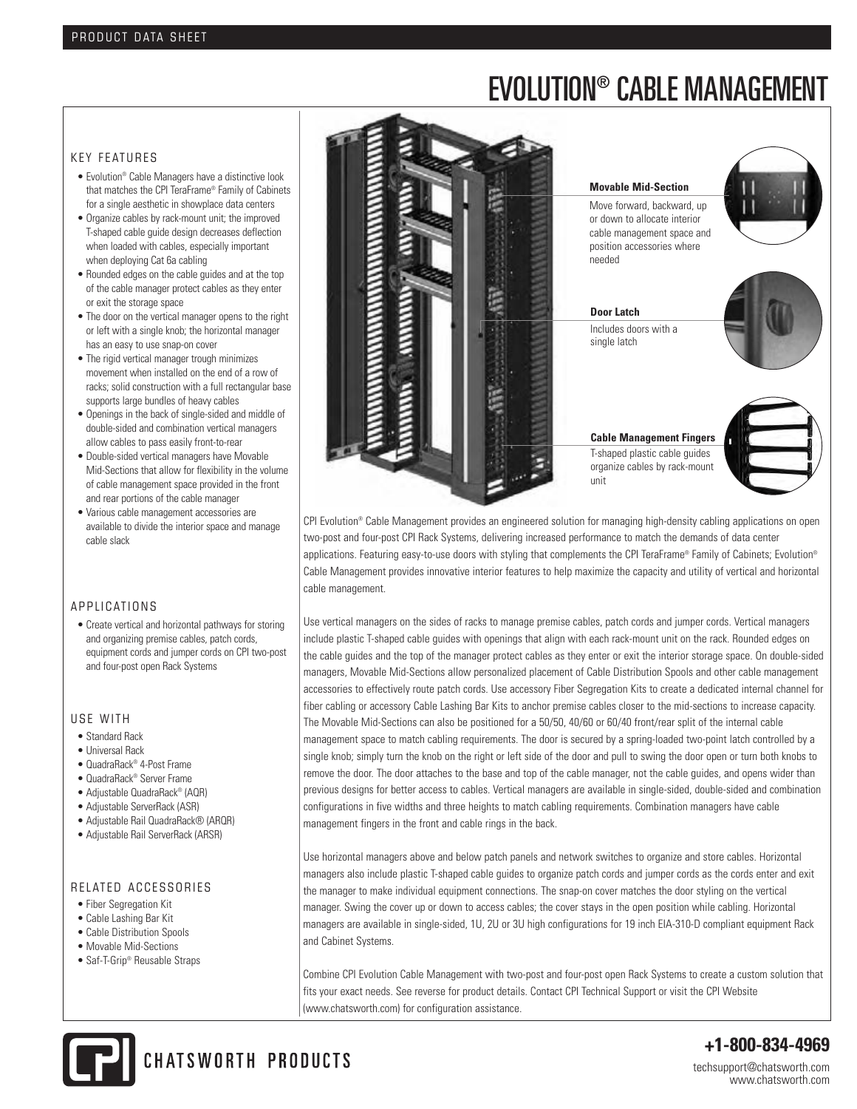# EVOLUTION® CABLE MANAGEMENT

# KEY FEATURES

- Evolution® Cable Managers have a distinctive look that matches the CPI TeraFrame® Family of Cabinets for a single aesthetic in showplace data centers
- Organize cables by rack-mount unit; the improved T-shaped cable guide design decreases deflection when loaded with cables, especially important when deploying Cat 6a cabling
- Rounded edges on the cable guides and at the top of the cable manager protect cables as they enter or exit the storage space
- The door on the vertical manager opens to the right or left with a single knob; the horizontal manager has an easy to use snap-on cover
- The rigid vertical manager trough minimizes movement when installed on the end of a row of racks; solid construction with a full rectangular base supports large bundles of heavy cables
- Openings in the back of single-sided and middle of double-sided and combination vertical managers allow cables to pass easily front-to-rear
- Double-sided vertical managers have Movable Mid-Sections that allow for flexibility in the volume of cable management space provided in the front and rear portions of the cable manager
- Various cable management accessories are available to divide the interior space and manage cable slack

# A P P LICATIONS

• Create vertical and horizontal pathways for storing and organizing premise cables, patch cords, equipment cords and jumper cords on CPI two-post and four-post open Rack Systems

#### USF WITH

- Standard Rack
- Universal Rack
- QuadraRack® 4-Post Frame
- QuadraRack® Server Frame
- Adjustable QuadraRack® (AQR)
- Adjustable ServerRack (ASR)
- Adjustable Rail QuadraRack® (ARQR)
- Adjustable Rail ServerRack (ARSR)

#### RELATED ACCESSORIES

- Fiber Segregation Kit
- Cable Lashing Bar Kit
- Cable Distribution Spools
- Movable Mid-Sections
- Saf-T-Grip® Reusable Straps



CPI Evolution® Cable Management provides an engineered solution for managing high-density cabling applications on open two-post and four-post CPI Rack Systems, delivering increased performance to match the demands of data center applications. Featuring easy-to-use doors with styling that complements the CPI TeraFrame® Family of Cabinets; Evolution® Cable Management provides innovative interior features to help maximize the capacity and utility of vertical and horizontal cable management.

Use vertical managers on the sides of racks to manage premise cables, patch cords and jumper cords. Vertical managers include plastic T-shaped cable guides with openings that align with each rack-mount unit on the rack. Rounded edges on the cable guides and the top of the manager protect cables as they enter or exit the interior storage space. On double-sided managers, Movable Mid-Sections allow personalized placement of Cable Distribution Spools and other cable management accessories to effectively route patch cords. Use accessory Fiber Segregation Kits to create a dedicated internal channel for fiber cabling or accessory Cable Lashing Bar Kits to anchor premise cables closer to the mid-sections to increase capacity. The Movable Mid-Sections can also be positioned for a 50/50, 40/60 or 60/40 front/rear split of the internal cable management space to match cabling requirements. The door is secured by a spring-loaded two-point latch controlled by a single knob; simply turn the knob on the right or left side of the door and pull to swing the door open or turn both knobs to remove the door. The door attaches to the base and top of the cable manager, not the cable guides, and opens wider than previous designs for better access to cables. Vertical managers are available in single-sided, double-sided and combination configurations in five widths and three heights to match cabling requirements. Combination managers have cable management fingers in the front and cable rings in the back.

Use horizontal managers above and below patch panels and network switches to organize and store cables. Horizontal managers also include plastic T-shaped cable guides to organize patch cords and jumper cords as the cords enter and exit the manager to make individual equipment connections. The snap-on cover matches the door styling on the vertical manager. Swing the cover up or down to access cables; the cover stays in the open position while cabling. Horizontal managers are available in single-sided, 1U, 2U or 3U high configurations for 19 inch EIA-310-D compliant equipment Rack and Cabinet Systems.

Combine CPI Evolution Cable Management with two-post and four-post open Rack Systems to create a custom solution that fits your exact needs. See reverse for product details. Contact CPI Technical Support or visit the CPI Website (www.chatsworth.com) for configuration assistance.



CHATSWORTH PRODUCTS

**+1-800-834-4969**

techsupport@chatsworth.com www.chatsworth.com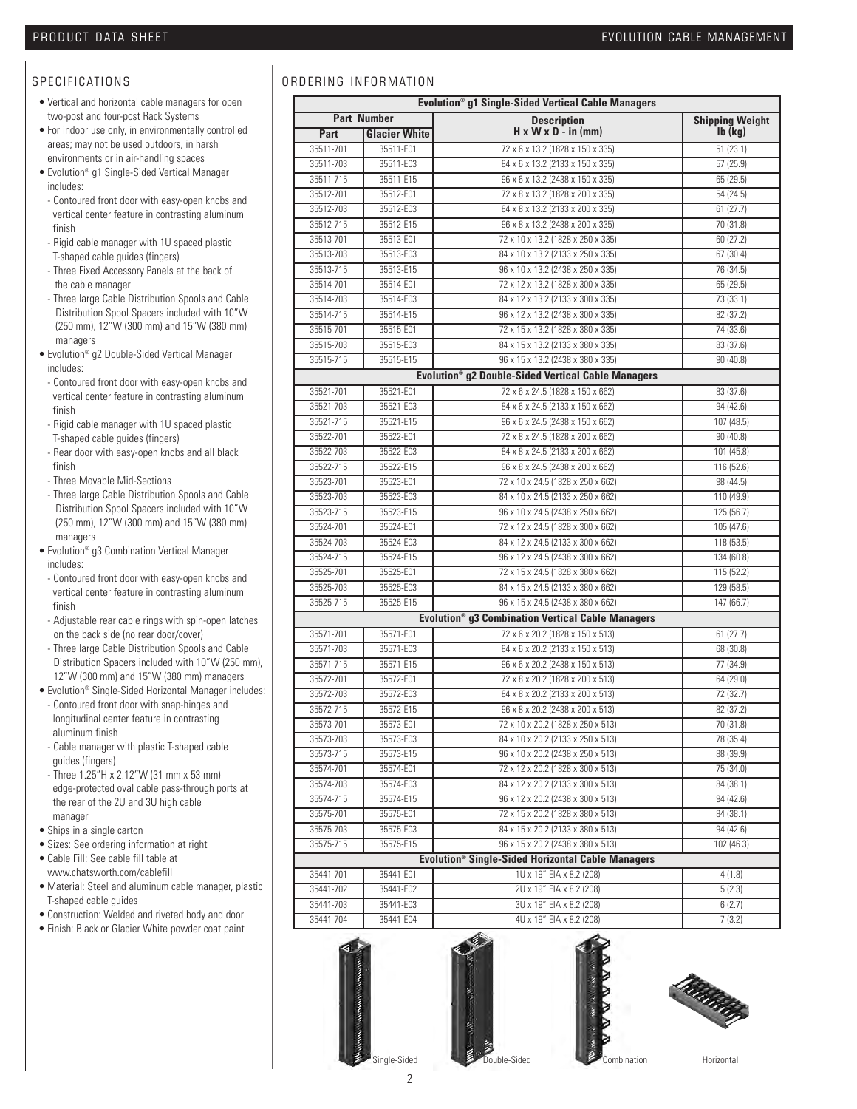# S P E CIFICATIONS

- Vertical and horizontal cable managers for open two-post and four-post Rack Systems
- For indoor use only, in environmentally controlled areas; may not be used outdoors, in harsh environments or in air-handling spaces
- Evolution® g1 Single-Sided Vertical Manager includes:
- Contoured front door with easy-open knobs and vertical center feature in contrasting aluminum finish
- Rigid cable manager with 1U spaced plastic T-shaped cable guides (fingers)
- Three Fixed Accessory Panels at the back of the cable manager
- Three large Cable Distribution Spools and Cable Distribution Spool Spacers included with 10"W (250 mm), 12"W (300 mm) and 15"W (380 mm) managers
- Evolution® g2 Double-Sided Vertical Manager includes:
- Contoured front door with easy-open knobs and vertical center feature in contrasting aluminum finish
- Rigid cable manager with 1U spaced plastic T-shaped cable guides (fingers)
- Rear door with easy-open knobs and all black finish
- Three Movable Mid-Sections
- Three large Cable Distribution Spools and Cable Distribution Spool Spacers included with 10"W (250 mm), 12"W (300 mm) and 15"W (380 mm) managers
- Evolution® g3 Combination Vertical Manager includes:
- Contoured front door with easy-open knobs and vertical center feature in contrasting aluminum finish
- Adjustable rear cable rings with spin-open latches on the back side (no rear door/cover)
- Three large Cable Distribution Spools and Cable Distribution Spacers included with 10"W (250 mm), 12"W (300 mm) and 15"W (380 mm) managers
- Evolution® Single-Sided Horizontal Manager includes: - Contoured front door with snap-hinges and longitudinal center feature in contrasting
- aluminum finish - Cable manager with plastic T-shaped cable
- guides (fingers) - Three 1.25"H x 2.12"W (31 mm x 53 mm) edge-protected oval cable pass-through ports at the rear of the 2U and 3U high cable
- manager
- Ships in a single carton
- Sizes: See ordering information at right • Cable Fill: See cable fill table at
- www.chatsworth.com/cablefill
- Material: Steel and aluminum cable manager, plastic T-shaped cable guides
- Construction: Welded and riveted body and door
- Finish: Black or Glacier White powder coat paint

# ORDERING INFORMATION

| <b>Part Number</b><br><b>Description</b><br><b>Shipping Weight</b><br>$H \times W \times D - in (mm)$<br>$Ib$ ( $kq$ )<br><b>Glacier White</b><br>Part<br>72 x 6 x 13.2 (1828 x 150 x 335)<br>51(23.1)<br>35511-701<br>35511-E01<br>35511-703<br>35511-E03<br>84 x 6 x 13.2 (2133 x 150 x 335)<br>57 (25.9)<br>35511-715<br>35511-E15<br>96 x 6 x 13.2 (2438 x 150 x 335)<br>65 (29.5)<br>35512-701<br>35512-E01<br>72 x 8 x 13.2 (1828 x 200 x 335)<br>54 (24.5)<br>35512-703<br>35512-E03<br>84 x 8 x 13.2 (2133 x 200 x 335)<br>61(27.7)<br>35512-715<br>35512-E15<br>96 x 8 x 13.2 (2438 x 200 x 335)<br>70 (31.8)<br>72 x 10 x 13.2 (1828 x 250 x 335)<br>35513-701<br>35513-E01<br>60(27.2)<br>35513-703<br>35513-E03<br>84 x 10 x 13.2 (2133 x 250 x 335)<br>67 (30.4)<br>35513-715<br>35513-E15<br>96 x 10 x 13.2 (2438 x 250 x 335)<br>76 (34.5)<br>35514-701<br>35514-E01<br>72 x 12 x 13.2 (1828 x 300 x 335)<br>65 (29.5)<br>35514-703<br>35514-E03<br>84 x 12 x 13.2 (2133 x 300 x 335)<br>73 (33.1)<br>35514-715<br>35514-E15<br>96 x 12 x 13.2 (2438 x 300 x 335)<br>82 (37.2)<br>72 x 15 x 13.2 (1828 x 380 x 335)<br>74 (33.6)<br>35515-701<br>35515-E01<br>35515-703<br>35515-E03<br>84 x 15 x 13.2 (2133 x 380 x 335)<br>83 (37.6)<br>35515-715<br>96 x 15 x 13.2 (2438 x 380 x 335)<br>90 (40.8)<br>35515-E15<br>Evolution <sup>®</sup> q2 Double-Sided Vertical Cable Managers<br>35521-701<br>35521-E01<br>72 x 6 x 24.5 (1828 x 150 x 662)<br>83 (37.6)<br>35521-703<br>35521-E03<br>84 x 6 x 24.5 (2133 x 150 x 662)<br>94 (42.6)<br>35521-715<br>35521-E15<br>96 x 6 x 24.5 (2438 x 150 x 662)<br>107 (48.5)<br>35522-701<br>35522-E01<br>72 x 8 x 24.5 (1828 x 200 x 662)<br>90(40.8)<br>84 x 8 x 24.5 (2133 x 200 x 662)<br>35522-703<br>35522-E03<br>101 (45.8)<br>35522-715<br>35522-E15<br>96 x 8 x 24.5 (2438 x 200 x 662)<br>116 (52.6)<br>35523-701<br>35523-E01<br>72 x 10 x 24.5 (1828 x 250 x 662)<br>98 (44.5)<br>35523-703<br>35523-E03<br>84 x 10 x 24.5 (2133 x 250 x 662)<br>110 (49.9)<br>35523-715<br>35523-E15<br>96 x 10 x 24.5 (2438 x 250 x 662)<br>125 (56.7)<br>35524-701<br>35524-E01<br>72 x 12 x 24.5 (1828 x 300 x 662)<br>105(47.6)<br>35524-703<br>35524-E03<br>84 x 12 x 24.5 (2133 x 300 x 662)<br>118 (53.5)<br>35524-715<br>35524-E15<br>96 x 12 x 24.5 (2438 x 300 x 662)<br>134 (60.8)<br>35525-701<br>35525-E01<br>72 x 15 x 24.5 (1828 x 380 x 662)<br>115 (52.2)<br>35525-703<br>35525-E03<br>84 x 15 x 24.5 (2133 x 380 x 662)<br>129 (58.5)<br>35525-715<br>35525-E15<br>96 x 15 x 24.5 (2438 x 380 x 662)<br>147 (66.7)<br>Evolution <sup>®</sup> g3 Combination Vertical Cable Managers<br>35571-701<br>35571-F01<br>72 x 6 x 20.2 (1828 x 150 x 513)<br>61(27.7)<br>35571-703<br>35571-E03<br>84 x 6 x 20.2 (2133 x 150 x 513)<br>68 (30.8)<br>35571-715<br>35571-E15<br>96 x 6 x 20.2 (2438 x 150 x 513)<br>77 (34.9)<br>35572-701<br>72 x 8 x 20.2 (1828 x 200 x 513)<br>64 (29.0)<br>35572-E01<br>35572-703<br>35572-E03<br>84 x 8 x 20.2 (2133 x 200 x 513)<br>72 (32.7)<br>35572-715<br>35572-E15<br>96 x 8 x 20.2 (2438 x 200 x 513)<br>82 (37.2)<br>35573-701<br>35573-E01<br>72 x 10 x 20.2 (1828 x 250 x 513)<br>70 (31.8)<br>84 x 10 x 20.2 (2133 x 250 x 513)<br>78 (35.4)<br>35573-703<br>35573-E03<br>96 x 10 x 20.2 (2438 x 250 x 513)<br>88 (39.9)<br>35573-715<br>35573-E15<br>72 x 12 x 20.2 (1828 x 300 x 513)<br>35574-701<br>75 (34.0)<br>35574-E01<br>84 x 12 x 20.2 (2133 x 300 x 513)<br>35574-703<br>35574-E03<br>84 (38.1)<br>35574-715<br>35574-E15<br>96 x 12 x 20.2 (2438 x 300 x 513)<br>94 (42.6)<br>72 x 15 x 20.2 (1828 x 380 x 513)<br>84 (38.1)<br>35575-701<br>35575-E01<br>84 x 15 x 20.2 (2133 x 380 x 513)<br>94 (42.6)<br>35575-703<br>35575-E03<br>96 x 15 x 20.2 (2438 x 380 x 513)<br>35575-715<br>35575-E15<br>102 (46.3)<br><b>Evolution<sup>®</sup> Single-Sided Horizontal Cable Managers</b><br>35441-701<br>1U x 19" EIA x 8.2 (208)<br>35441-E01<br>4(1.8)<br>35441-702<br>2U x 19" EIA x 8.2 (208)<br>35441-E02<br>5(2.3)<br>3U x 19" EIA x 8.2 (208)<br>35441-703<br>35441-E03<br>6(2.7)<br>4U x 19" EIA x 8.2 (208)<br>35441-704<br>7(3.2)<br>35441-E04 | Evolution <sup>®</sup> g1 Single-Sided Vertical Cable Managers |  |  |  |  |
|----------------------------------------------------------------------------------------------------------------------------------------------------------------------------------------------------------------------------------------------------------------------------------------------------------------------------------------------------------------------------------------------------------------------------------------------------------------------------------------------------------------------------------------------------------------------------------------------------------------------------------------------------------------------------------------------------------------------------------------------------------------------------------------------------------------------------------------------------------------------------------------------------------------------------------------------------------------------------------------------------------------------------------------------------------------------------------------------------------------------------------------------------------------------------------------------------------------------------------------------------------------------------------------------------------------------------------------------------------------------------------------------------------------------------------------------------------------------------------------------------------------------------------------------------------------------------------------------------------------------------------------------------------------------------------------------------------------------------------------------------------------------------------------------------------------------------------------------------------------------------------------------------------------------------------------------------------------------------------------------------------------------------------------------------------------------------------------------------------------------------------------------------------------------------------------------------------------------------------------------------------------------------------------------------------------------------------------------------------------------------------------------------------------------------------------------------------------------------------------------------------------------------------------------------------------------------------------------------------------------------------------------------------------------------------------------------------------------------------------------------------------------------------------------------------------------------------------------------------------------------------------------------------------------------------------------------------------------------------------------------------------------------------------------------------------------------------------------------------------------------------------------------------------------------------------------------------------------------------------------------------------------------------------------------------------------------------------------------------------------------------------------------------------------------------------------------------------------------------------------------------------------------------------------------------------------------------------------------------------------------------------------------------------------------------------------------------------------------------------------------------------------------------------------------------------------------------------------------------------------------------------------------------------------------------------------------------------------------------------------------------------------------------------------------------------------------------------------------------------------------------------------------------------------------------|----------------------------------------------------------------|--|--|--|--|
|                                                                                                                                                                                                                                                                                                                                                                                                                                                                                                                                                                                                                                                                                                                                                                                                                                                                                                                                                                                                                                                                                                                                                                                                                                                                                                                                                                                                                                                                                                                                                                                                                                                                                                                                                                                                                                                                                                                                                                                                                                                                                                                                                                                                                                                                                                                                                                                                                                                                                                                                                                                                                                                                                                                                                                                                                                                                                                                                                                                                                                                                                                                                                                                                                                                                                                                                                                                                                                                                                                                                                                                                                                                                                                                                                                                                                                                                                                                                                                                                                                                                                                                                                                                  |                                                                |  |  |  |  |
|                                                                                                                                                                                                                                                                                                                                                                                                                                                                                                                                                                                                                                                                                                                                                                                                                                                                                                                                                                                                                                                                                                                                                                                                                                                                                                                                                                                                                                                                                                                                                                                                                                                                                                                                                                                                                                                                                                                                                                                                                                                                                                                                                                                                                                                                                                                                                                                                                                                                                                                                                                                                                                                                                                                                                                                                                                                                                                                                                                                                                                                                                                                                                                                                                                                                                                                                                                                                                                                                                                                                                                                                                                                                                                                                                                                                                                                                                                                                                                                                                                                                                                                                                                                  |                                                                |  |  |  |  |
|                                                                                                                                                                                                                                                                                                                                                                                                                                                                                                                                                                                                                                                                                                                                                                                                                                                                                                                                                                                                                                                                                                                                                                                                                                                                                                                                                                                                                                                                                                                                                                                                                                                                                                                                                                                                                                                                                                                                                                                                                                                                                                                                                                                                                                                                                                                                                                                                                                                                                                                                                                                                                                                                                                                                                                                                                                                                                                                                                                                                                                                                                                                                                                                                                                                                                                                                                                                                                                                                                                                                                                                                                                                                                                                                                                                                                                                                                                                                                                                                                                                                                                                                                                                  |                                                                |  |  |  |  |
|                                                                                                                                                                                                                                                                                                                                                                                                                                                                                                                                                                                                                                                                                                                                                                                                                                                                                                                                                                                                                                                                                                                                                                                                                                                                                                                                                                                                                                                                                                                                                                                                                                                                                                                                                                                                                                                                                                                                                                                                                                                                                                                                                                                                                                                                                                                                                                                                                                                                                                                                                                                                                                                                                                                                                                                                                                                                                                                                                                                                                                                                                                                                                                                                                                                                                                                                                                                                                                                                                                                                                                                                                                                                                                                                                                                                                                                                                                                                                                                                                                                                                                                                                                                  |                                                                |  |  |  |  |
|                                                                                                                                                                                                                                                                                                                                                                                                                                                                                                                                                                                                                                                                                                                                                                                                                                                                                                                                                                                                                                                                                                                                                                                                                                                                                                                                                                                                                                                                                                                                                                                                                                                                                                                                                                                                                                                                                                                                                                                                                                                                                                                                                                                                                                                                                                                                                                                                                                                                                                                                                                                                                                                                                                                                                                                                                                                                                                                                                                                                                                                                                                                                                                                                                                                                                                                                                                                                                                                                                                                                                                                                                                                                                                                                                                                                                                                                                                                                                                                                                                                                                                                                                                                  |                                                                |  |  |  |  |
|                                                                                                                                                                                                                                                                                                                                                                                                                                                                                                                                                                                                                                                                                                                                                                                                                                                                                                                                                                                                                                                                                                                                                                                                                                                                                                                                                                                                                                                                                                                                                                                                                                                                                                                                                                                                                                                                                                                                                                                                                                                                                                                                                                                                                                                                                                                                                                                                                                                                                                                                                                                                                                                                                                                                                                                                                                                                                                                                                                                                                                                                                                                                                                                                                                                                                                                                                                                                                                                                                                                                                                                                                                                                                                                                                                                                                                                                                                                                                                                                                                                                                                                                                                                  |                                                                |  |  |  |  |
|                                                                                                                                                                                                                                                                                                                                                                                                                                                                                                                                                                                                                                                                                                                                                                                                                                                                                                                                                                                                                                                                                                                                                                                                                                                                                                                                                                                                                                                                                                                                                                                                                                                                                                                                                                                                                                                                                                                                                                                                                                                                                                                                                                                                                                                                                                                                                                                                                                                                                                                                                                                                                                                                                                                                                                                                                                                                                                                                                                                                                                                                                                                                                                                                                                                                                                                                                                                                                                                                                                                                                                                                                                                                                                                                                                                                                                                                                                                                                                                                                                                                                                                                                                                  |                                                                |  |  |  |  |
|                                                                                                                                                                                                                                                                                                                                                                                                                                                                                                                                                                                                                                                                                                                                                                                                                                                                                                                                                                                                                                                                                                                                                                                                                                                                                                                                                                                                                                                                                                                                                                                                                                                                                                                                                                                                                                                                                                                                                                                                                                                                                                                                                                                                                                                                                                                                                                                                                                                                                                                                                                                                                                                                                                                                                                                                                                                                                                                                                                                                                                                                                                                                                                                                                                                                                                                                                                                                                                                                                                                                                                                                                                                                                                                                                                                                                                                                                                                                                                                                                                                                                                                                                                                  |                                                                |  |  |  |  |
|                                                                                                                                                                                                                                                                                                                                                                                                                                                                                                                                                                                                                                                                                                                                                                                                                                                                                                                                                                                                                                                                                                                                                                                                                                                                                                                                                                                                                                                                                                                                                                                                                                                                                                                                                                                                                                                                                                                                                                                                                                                                                                                                                                                                                                                                                                                                                                                                                                                                                                                                                                                                                                                                                                                                                                                                                                                                                                                                                                                                                                                                                                                                                                                                                                                                                                                                                                                                                                                                                                                                                                                                                                                                                                                                                                                                                                                                                                                                                                                                                                                                                                                                                                                  |                                                                |  |  |  |  |
|                                                                                                                                                                                                                                                                                                                                                                                                                                                                                                                                                                                                                                                                                                                                                                                                                                                                                                                                                                                                                                                                                                                                                                                                                                                                                                                                                                                                                                                                                                                                                                                                                                                                                                                                                                                                                                                                                                                                                                                                                                                                                                                                                                                                                                                                                                                                                                                                                                                                                                                                                                                                                                                                                                                                                                                                                                                                                                                                                                                                                                                                                                                                                                                                                                                                                                                                                                                                                                                                                                                                                                                                                                                                                                                                                                                                                                                                                                                                                                                                                                                                                                                                                                                  |                                                                |  |  |  |  |
|                                                                                                                                                                                                                                                                                                                                                                                                                                                                                                                                                                                                                                                                                                                                                                                                                                                                                                                                                                                                                                                                                                                                                                                                                                                                                                                                                                                                                                                                                                                                                                                                                                                                                                                                                                                                                                                                                                                                                                                                                                                                                                                                                                                                                                                                                                                                                                                                                                                                                                                                                                                                                                                                                                                                                                                                                                                                                                                                                                                                                                                                                                                                                                                                                                                                                                                                                                                                                                                                                                                                                                                                                                                                                                                                                                                                                                                                                                                                                                                                                                                                                                                                                                                  |                                                                |  |  |  |  |
|                                                                                                                                                                                                                                                                                                                                                                                                                                                                                                                                                                                                                                                                                                                                                                                                                                                                                                                                                                                                                                                                                                                                                                                                                                                                                                                                                                                                                                                                                                                                                                                                                                                                                                                                                                                                                                                                                                                                                                                                                                                                                                                                                                                                                                                                                                                                                                                                                                                                                                                                                                                                                                                                                                                                                                                                                                                                                                                                                                                                                                                                                                                                                                                                                                                                                                                                                                                                                                                                                                                                                                                                                                                                                                                                                                                                                                                                                                                                                                                                                                                                                                                                                                                  |                                                                |  |  |  |  |
|                                                                                                                                                                                                                                                                                                                                                                                                                                                                                                                                                                                                                                                                                                                                                                                                                                                                                                                                                                                                                                                                                                                                                                                                                                                                                                                                                                                                                                                                                                                                                                                                                                                                                                                                                                                                                                                                                                                                                                                                                                                                                                                                                                                                                                                                                                                                                                                                                                                                                                                                                                                                                                                                                                                                                                                                                                                                                                                                                                                                                                                                                                                                                                                                                                                                                                                                                                                                                                                                                                                                                                                                                                                                                                                                                                                                                                                                                                                                                                                                                                                                                                                                                                                  |                                                                |  |  |  |  |
|                                                                                                                                                                                                                                                                                                                                                                                                                                                                                                                                                                                                                                                                                                                                                                                                                                                                                                                                                                                                                                                                                                                                                                                                                                                                                                                                                                                                                                                                                                                                                                                                                                                                                                                                                                                                                                                                                                                                                                                                                                                                                                                                                                                                                                                                                                                                                                                                                                                                                                                                                                                                                                                                                                                                                                                                                                                                                                                                                                                                                                                                                                                                                                                                                                                                                                                                                                                                                                                                                                                                                                                                                                                                                                                                                                                                                                                                                                                                                                                                                                                                                                                                                                                  |                                                                |  |  |  |  |
|                                                                                                                                                                                                                                                                                                                                                                                                                                                                                                                                                                                                                                                                                                                                                                                                                                                                                                                                                                                                                                                                                                                                                                                                                                                                                                                                                                                                                                                                                                                                                                                                                                                                                                                                                                                                                                                                                                                                                                                                                                                                                                                                                                                                                                                                                                                                                                                                                                                                                                                                                                                                                                                                                                                                                                                                                                                                                                                                                                                                                                                                                                                                                                                                                                                                                                                                                                                                                                                                                                                                                                                                                                                                                                                                                                                                                                                                                                                                                                                                                                                                                                                                                                                  |                                                                |  |  |  |  |
|                                                                                                                                                                                                                                                                                                                                                                                                                                                                                                                                                                                                                                                                                                                                                                                                                                                                                                                                                                                                                                                                                                                                                                                                                                                                                                                                                                                                                                                                                                                                                                                                                                                                                                                                                                                                                                                                                                                                                                                                                                                                                                                                                                                                                                                                                                                                                                                                                                                                                                                                                                                                                                                                                                                                                                                                                                                                                                                                                                                                                                                                                                                                                                                                                                                                                                                                                                                                                                                                                                                                                                                                                                                                                                                                                                                                                                                                                                                                                                                                                                                                                                                                                                                  |                                                                |  |  |  |  |
|                                                                                                                                                                                                                                                                                                                                                                                                                                                                                                                                                                                                                                                                                                                                                                                                                                                                                                                                                                                                                                                                                                                                                                                                                                                                                                                                                                                                                                                                                                                                                                                                                                                                                                                                                                                                                                                                                                                                                                                                                                                                                                                                                                                                                                                                                                                                                                                                                                                                                                                                                                                                                                                                                                                                                                                                                                                                                                                                                                                                                                                                                                                                                                                                                                                                                                                                                                                                                                                                                                                                                                                                                                                                                                                                                                                                                                                                                                                                                                                                                                                                                                                                                                                  |                                                                |  |  |  |  |
|                                                                                                                                                                                                                                                                                                                                                                                                                                                                                                                                                                                                                                                                                                                                                                                                                                                                                                                                                                                                                                                                                                                                                                                                                                                                                                                                                                                                                                                                                                                                                                                                                                                                                                                                                                                                                                                                                                                                                                                                                                                                                                                                                                                                                                                                                                                                                                                                                                                                                                                                                                                                                                                                                                                                                                                                                                                                                                                                                                                                                                                                                                                                                                                                                                                                                                                                                                                                                                                                                                                                                                                                                                                                                                                                                                                                                                                                                                                                                                                                                                                                                                                                                                                  |                                                                |  |  |  |  |
|                                                                                                                                                                                                                                                                                                                                                                                                                                                                                                                                                                                                                                                                                                                                                                                                                                                                                                                                                                                                                                                                                                                                                                                                                                                                                                                                                                                                                                                                                                                                                                                                                                                                                                                                                                                                                                                                                                                                                                                                                                                                                                                                                                                                                                                                                                                                                                                                                                                                                                                                                                                                                                                                                                                                                                                                                                                                                                                                                                                                                                                                                                                                                                                                                                                                                                                                                                                                                                                                                                                                                                                                                                                                                                                                                                                                                                                                                                                                                                                                                                                                                                                                                                                  |                                                                |  |  |  |  |
|                                                                                                                                                                                                                                                                                                                                                                                                                                                                                                                                                                                                                                                                                                                                                                                                                                                                                                                                                                                                                                                                                                                                                                                                                                                                                                                                                                                                                                                                                                                                                                                                                                                                                                                                                                                                                                                                                                                                                                                                                                                                                                                                                                                                                                                                                                                                                                                                                                                                                                                                                                                                                                                                                                                                                                                                                                                                                                                                                                                                                                                                                                                                                                                                                                                                                                                                                                                                                                                                                                                                                                                                                                                                                                                                                                                                                                                                                                                                                                                                                                                                                                                                                                                  |                                                                |  |  |  |  |
|                                                                                                                                                                                                                                                                                                                                                                                                                                                                                                                                                                                                                                                                                                                                                                                                                                                                                                                                                                                                                                                                                                                                                                                                                                                                                                                                                                                                                                                                                                                                                                                                                                                                                                                                                                                                                                                                                                                                                                                                                                                                                                                                                                                                                                                                                                                                                                                                                                                                                                                                                                                                                                                                                                                                                                                                                                                                                                                                                                                                                                                                                                                                                                                                                                                                                                                                                                                                                                                                                                                                                                                                                                                                                                                                                                                                                                                                                                                                                                                                                                                                                                                                                                                  |                                                                |  |  |  |  |
|                                                                                                                                                                                                                                                                                                                                                                                                                                                                                                                                                                                                                                                                                                                                                                                                                                                                                                                                                                                                                                                                                                                                                                                                                                                                                                                                                                                                                                                                                                                                                                                                                                                                                                                                                                                                                                                                                                                                                                                                                                                                                                                                                                                                                                                                                                                                                                                                                                                                                                                                                                                                                                                                                                                                                                                                                                                                                                                                                                                                                                                                                                                                                                                                                                                                                                                                                                                                                                                                                                                                                                                                                                                                                                                                                                                                                                                                                                                                                                                                                                                                                                                                                                                  |                                                                |  |  |  |  |
|                                                                                                                                                                                                                                                                                                                                                                                                                                                                                                                                                                                                                                                                                                                                                                                                                                                                                                                                                                                                                                                                                                                                                                                                                                                                                                                                                                                                                                                                                                                                                                                                                                                                                                                                                                                                                                                                                                                                                                                                                                                                                                                                                                                                                                                                                                                                                                                                                                                                                                                                                                                                                                                                                                                                                                                                                                                                                                                                                                                                                                                                                                                                                                                                                                                                                                                                                                                                                                                                                                                                                                                                                                                                                                                                                                                                                                                                                                                                                                                                                                                                                                                                                                                  |                                                                |  |  |  |  |
|                                                                                                                                                                                                                                                                                                                                                                                                                                                                                                                                                                                                                                                                                                                                                                                                                                                                                                                                                                                                                                                                                                                                                                                                                                                                                                                                                                                                                                                                                                                                                                                                                                                                                                                                                                                                                                                                                                                                                                                                                                                                                                                                                                                                                                                                                                                                                                                                                                                                                                                                                                                                                                                                                                                                                                                                                                                                                                                                                                                                                                                                                                                                                                                                                                                                                                                                                                                                                                                                                                                                                                                                                                                                                                                                                                                                                                                                                                                                                                                                                                                                                                                                                                                  |                                                                |  |  |  |  |
|                                                                                                                                                                                                                                                                                                                                                                                                                                                                                                                                                                                                                                                                                                                                                                                                                                                                                                                                                                                                                                                                                                                                                                                                                                                                                                                                                                                                                                                                                                                                                                                                                                                                                                                                                                                                                                                                                                                                                                                                                                                                                                                                                                                                                                                                                                                                                                                                                                                                                                                                                                                                                                                                                                                                                                                                                                                                                                                                                                                                                                                                                                                                                                                                                                                                                                                                                                                                                                                                                                                                                                                                                                                                                                                                                                                                                                                                                                                                                                                                                                                                                                                                                                                  |                                                                |  |  |  |  |
|                                                                                                                                                                                                                                                                                                                                                                                                                                                                                                                                                                                                                                                                                                                                                                                                                                                                                                                                                                                                                                                                                                                                                                                                                                                                                                                                                                                                                                                                                                                                                                                                                                                                                                                                                                                                                                                                                                                                                                                                                                                                                                                                                                                                                                                                                                                                                                                                                                                                                                                                                                                                                                                                                                                                                                                                                                                                                                                                                                                                                                                                                                                                                                                                                                                                                                                                                                                                                                                                                                                                                                                                                                                                                                                                                                                                                                                                                                                                                                                                                                                                                                                                                                                  |                                                                |  |  |  |  |
|                                                                                                                                                                                                                                                                                                                                                                                                                                                                                                                                                                                                                                                                                                                                                                                                                                                                                                                                                                                                                                                                                                                                                                                                                                                                                                                                                                                                                                                                                                                                                                                                                                                                                                                                                                                                                                                                                                                                                                                                                                                                                                                                                                                                                                                                                                                                                                                                                                                                                                                                                                                                                                                                                                                                                                                                                                                                                                                                                                                                                                                                                                                                                                                                                                                                                                                                                                                                                                                                                                                                                                                                                                                                                                                                                                                                                                                                                                                                                                                                                                                                                                                                                                                  |                                                                |  |  |  |  |
|                                                                                                                                                                                                                                                                                                                                                                                                                                                                                                                                                                                                                                                                                                                                                                                                                                                                                                                                                                                                                                                                                                                                                                                                                                                                                                                                                                                                                                                                                                                                                                                                                                                                                                                                                                                                                                                                                                                                                                                                                                                                                                                                                                                                                                                                                                                                                                                                                                                                                                                                                                                                                                                                                                                                                                                                                                                                                                                                                                                                                                                                                                                                                                                                                                                                                                                                                                                                                                                                                                                                                                                                                                                                                                                                                                                                                                                                                                                                                                                                                                                                                                                                                                                  |                                                                |  |  |  |  |
|                                                                                                                                                                                                                                                                                                                                                                                                                                                                                                                                                                                                                                                                                                                                                                                                                                                                                                                                                                                                                                                                                                                                                                                                                                                                                                                                                                                                                                                                                                                                                                                                                                                                                                                                                                                                                                                                                                                                                                                                                                                                                                                                                                                                                                                                                                                                                                                                                                                                                                                                                                                                                                                                                                                                                                                                                                                                                                                                                                                                                                                                                                                                                                                                                                                                                                                                                                                                                                                                                                                                                                                                                                                                                                                                                                                                                                                                                                                                                                                                                                                                                                                                                                                  |                                                                |  |  |  |  |
|                                                                                                                                                                                                                                                                                                                                                                                                                                                                                                                                                                                                                                                                                                                                                                                                                                                                                                                                                                                                                                                                                                                                                                                                                                                                                                                                                                                                                                                                                                                                                                                                                                                                                                                                                                                                                                                                                                                                                                                                                                                                                                                                                                                                                                                                                                                                                                                                                                                                                                                                                                                                                                                                                                                                                                                                                                                                                                                                                                                                                                                                                                                                                                                                                                                                                                                                                                                                                                                                                                                                                                                                                                                                                                                                                                                                                                                                                                                                                                                                                                                                                                                                                                                  |                                                                |  |  |  |  |
|                                                                                                                                                                                                                                                                                                                                                                                                                                                                                                                                                                                                                                                                                                                                                                                                                                                                                                                                                                                                                                                                                                                                                                                                                                                                                                                                                                                                                                                                                                                                                                                                                                                                                                                                                                                                                                                                                                                                                                                                                                                                                                                                                                                                                                                                                                                                                                                                                                                                                                                                                                                                                                                                                                                                                                                                                                                                                                                                                                                                                                                                                                                                                                                                                                                                                                                                                                                                                                                                                                                                                                                                                                                                                                                                                                                                                                                                                                                                                                                                                                                                                                                                                                                  |                                                                |  |  |  |  |
|                                                                                                                                                                                                                                                                                                                                                                                                                                                                                                                                                                                                                                                                                                                                                                                                                                                                                                                                                                                                                                                                                                                                                                                                                                                                                                                                                                                                                                                                                                                                                                                                                                                                                                                                                                                                                                                                                                                                                                                                                                                                                                                                                                                                                                                                                                                                                                                                                                                                                                                                                                                                                                                                                                                                                                                                                                                                                                                                                                                                                                                                                                                                                                                                                                                                                                                                                                                                                                                                                                                                                                                                                                                                                                                                                                                                                                                                                                                                                                                                                                                                                                                                                                                  |                                                                |  |  |  |  |
|                                                                                                                                                                                                                                                                                                                                                                                                                                                                                                                                                                                                                                                                                                                                                                                                                                                                                                                                                                                                                                                                                                                                                                                                                                                                                                                                                                                                                                                                                                                                                                                                                                                                                                                                                                                                                                                                                                                                                                                                                                                                                                                                                                                                                                                                                                                                                                                                                                                                                                                                                                                                                                                                                                                                                                                                                                                                                                                                                                                                                                                                                                                                                                                                                                                                                                                                                                                                                                                                                                                                                                                                                                                                                                                                                                                                                                                                                                                                                                                                                                                                                                                                                                                  |                                                                |  |  |  |  |
|                                                                                                                                                                                                                                                                                                                                                                                                                                                                                                                                                                                                                                                                                                                                                                                                                                                                                                                                                                                                                                                                                                                                                                                                                                                                                                                                                                                                                                                                                                                                                                                                                                                                                                                                                                                                                                                                                                                                                                                                                                                                                                                                                                                                                                                                                                                                                                                                                                                                                                                                                                                                                                                                                                                                                                                                                                                                                                                                                                                                                                                                                                                                                                                                                                                                                                                                                                                                                                                                                                                                                                                                                                                                                                                                                                                                                                                                                                                                                                                                                                                                                                                                                                                  |                                                                |  |  |  |  |
|                                                                                                                                                                                                                                                                                                                                                                                                                                                                                                                                                                                                                                                                                                                                                                                                                                                                                                                                                                                                                                                                                                                                                                                                                                                                                                                                                                                                                                                                                                                                                                                                                                                                                                                                                                                                                                                                                                                                                                                                                                                                                                                                                                                                                                                                                                                                                                                                                                                                                                                                                                                                                                                                                                                                                                                                                                                                                                                                                                                                                                                                                                                                                                                                                                                                                                                                                                                                                                                                                                                                                                                                                                                                                                                                                                                                                                                                                                                                                                                                                                                                                                                                                                                  |                                                                |  |  |  |  |
|                                                                                                                                                                                                                                                                                                                                                                                                                                                                                                                                                                                                                                                                                                                                                                                                                                                                                                                                                                                                                                                                                                                                                                                                                                                                                                                                                                                                                                                                                                                                                                                                                                                                                                                                                                                                                                                                                                                                                                                                                                                                                                                                                                                                                                                                                                                                                                                                                                                                                                                                                                                                                                                                                                                                                                                                                                                                                                                                                                                                                                                                                                                                                                                                                                                                                                                                                                                                                                                                                                                                                                                                                                                                                                                                                                                                                                                                                                                                                                                                                                                                                                                                                                                  |                                                                |  |  |  |  |
|                                                                                                                                                                                                                                                                                                                                                                                                                                                                                                                                                                                                                                                                                                                                                                                                                                                                                                                                                                                                                                                                                                                                                                                                                                                                                                                                                                                                                                                                                                                                                                                                                                                                                                                                                                                                                                                                                                                                                                                                                                                                                                                                                                                                                                                                                                                                                                                                                                                                                                                                                                                                                                                                                                                                                                                                                                                                                                                                                                                                                                                                                                                                                                                                                                                                                                                                                                                                                                                                                                                                                                                                                                                                                                                                                                                                                                                                                                                                                                                                                                                                                                                                                                                  |                                                                |  |  |  |  |
|                                                                                                                                                                                                                                                                                                                                                                                                                                                                                                                                                                                                                                                                                                                                                                                                                                                                                                                                                                                                                                                                                                                                                                                                                                                                                                                                                                                                                                                                                                                                                                                                                                                                                                                                                                                                                                                                                                                                                                                                                                                                                                                                                                                                                                                                                                                                                                                                                                                                                                                                                                                                                                                                                                                                                                                                                                                                                                                                                                                                                                                                                                                                                                                                                                                                                                                                                                                                                                                                                                                                                                                                                                                                                                                                                                                                                                                                                                                                                                                                                                                                                                                                                                                  |                                                                |  |  |  |  |
|                                                                                                                                                                                                                                                                                                                                                                                                                                                                                                                                                                                                                                                                                                                                                                                                                                                                                                                                                                                                                                                                                                                                                                                                                                                                                                                                                                                                                                                                                                                                                                                                                                                                                                                                                                                                                                                                                                                                                                                                                                                                                                                                                                                                                                                                                                                                                                                                                                                                                                                                                                                                                                                                                                                                                                                                                                                                                                                                                                                                                                                                                                                                                                                                                                                                                                                                                                                                                                                                                                                                                                                                                                                                                                                                                                                                                                                                                                                                                                                                                                                                                                                                                                                  |                                                                |  |  |  |  |
|                                                                                                                                                                                                                                                                                                                                                                                                                                                                                                                                                                                                                                                                                                                                                                                                                                                                                                                                                                                                                                                                                                                                                                                                                                                                                                                                                                                                                                                                                                                                                                                                                                                                                                                                                                                                                                                                                                                                                                                                                                                                                                                                                                                                                                                                                                                                                                                                                                                                                                                                                                                                                                                                                                                                                                                                                                                                                                                                                                                                                                                                                                                                                                                                                                                                                                                                                                                                                                                                                                                                                                                                                                                                                                                                                                                                                                                                                                                                                                                                                                                                                                                                                                                  |                                                                |  |  |  |  |
|                                                                                                                                                                                                                                                                                                                                                                                                                                                                                                                                                                                                                                                                                                                                                                                                                                                                                                                                                                                                                                                                                                                                                                                                                                                                                                                                                                                                                                                                                                                                                                                                                                                                                                                                                                                                                                                                                                                                                                                                                                                                                                                                                                                                                                                                                                                                                                                                                                                                                                                                                                                                                                                                                                                                                                                                                                                                                                                                                                                                                                                                                                                                                                                                                                                                                                                                                                                                                                                                                                                                                                                                                                                                                                                                                                                                                                                                                                                                                                                                                                                                                                                                                                                  |                                                                |  |  |  |  |
|                                                                                                                                                                                                                                                                                                                                                                                                                                                                                                                                                                                                                                                                                                                                                                                                                                                                                                                                                                                                                                                                                                                                                                                                                                                                                                                                                                                                                                                                                                                                                                                                                                                                                                                                                                                                                                                                                                                                                                                                                                                                                                                                                                                                                                                                                                                                                                                                                                                                                                                                                                                                                                                                                                                                                                                                                                                                                                                                                                                                                                                                                                                                                                                                                                                                                                                                                                                                                                                                                                                                                                                                                                                                                                                                                                                                                                                                                                                                                                                                                                                                                                                                                                                  |                                                                |  |  |  |  |
|                                                                                                                                                                                                                                                                                                                                                                                                                                                                                                                                                                                                                                                                                                                                                                                                                                                                                                                                                                                                                                                                                                                                                                                                                                                                                                                                                                                                                                                                                                                                                                                                                                                                                                                                                                                                                                                                                                                                                                                                                                                                                                                                                                                                                                                                                                                                                                                                                                                                                                                                                                                                                                                                                                                                                                                                                                                                                                                                                                                                                                                                                                                                                                                                                                                                                                                                                                                                                                                                                                                                                                                                                                                                                                                                                                                                                                                                                                                                                                                                                                                                                                                                                                                  |                                                                |  |  |  |  |
|                                                                                                                                                                                                                                                                                                                                                                                                                                                                                                                                                                                                                                                                                                                                                                                                                                                                                                                                                                                                                                                                                                                                                                                                                                                                                                                                                                                                                                                                                                                                                                                                                                                                                                                                                                                                                                                                                                                                                                                                                                                                                                                                                                                                                                                                                                                                                                                                                                                                                                                                                                                                                                                                                                                                                                                                                                                                                                                                                                                                                                                                                                                                                                                                                                                                                                                                                                                                                                                                                                                                                                                                                                                                                                                                                                                                                                                                                                                                                                                                                                                                                                                                                                                  |                                                                |  |  |  |  |
|                                                                                                                                                                                                                                                                                                                                                                                                                                                                                                                                                                                                                                                                                                                                                                                                                                                                                                                                                                                                                                                                                                                                                                                                                                                                                                                                                                                                                                                                                                                                                                                                                                                                                                                                                                                                                                                                                                                                                                                                                                                                                                                                                                                                                                                                                                                                                                                                                                                                                                                                                                                                                                                                                                                                                                                                                                                                                                                                                                                                                                                                                                                                                                                                                                                                                                                                                                                                                                                                                                                                                                                                                                                                                                                                                                                                                                                                                                                                                                                                                                                                                                                                                                                  |                                                                |  |  |  |  |
|                                                                                                                                                                                                                                                                                                                                                                                                                                                                                                                                                                                                                                                                                                                                                                                                                                                                                                                                                                                                                                                                                                                                                                                                                                                                                                                                                                                                                                                                                                                                                                                                                                                                                                                                                                                                                                                                                                                                                                                                                                                                                                                                                                                                                                                                                                                                                                                                                                                                                                                                                                                                                                                                                                                                                                                                                                                                                                                                                                                                                                                                                                                                                                                                                                                                                                                                                                                                                                                                                                                                                                                                                                                                                                                                                                                                                                                                                                                                                                                                                                                                                                                                                                                  |                                                                |  |  |  |  |
|                                                                                                                                                                                                                                                                                                                                                                                                                                                                                                                                                                                                                                                                                                                                                                                                                                                                                                                                                                                                                                                                                                                                                                                                                                                                                                                                                                                                                                                                                                                                                                                                                                                                                                                                                                                                                                                                                                                                                                                                                                                                                                                                                                                                                                                                                                                                                                                                                                                                                                                                                                                                                                                                                                                                                                                                                                                                                                                                                                                                                                                                                                                                                                                                                                                                                                                                                                                                                                                                                                                                                                                                                                                                                                                                                                                                                                                                                                                                                                                                                                                                                                                                                                                  |                                                                |  |  |  |  |
|                                                                                                                                                                                                                                                                                                                                                                                                                                                                                                                                                                                                                                                                                                                                                                                                                                                                                                                                                                                                                                                                                                                                                                                                                                                                                                                                                                                                                                                                                                                                                                                                                                                                                                                                                                                                                                                                                                                                                                                                                                                                                                                                                                                                                                                                                                                                                                                                                                                                                                                                                                                                                                                                                                                                                                                                                                                                                                                                                                                                                                                                                                                                                                                                                                                                                                                                                                                                                                                                                                                                                                                                                                                                                                                                                                                                                                                                                                                                                                                                                                                                                                                                                                                  |                                                                |  |  |  |  |
|                                                                                                                                                                                                                                                                                                                                                                                                                                                                                                                                                                                                                                                                                                                                                                                                                                                                                                                                                                                                                                                                                                                                                                                                                                                                                                                                                                                                                                                                                                                                                                                                                                                                                                                                                                                                                                                                                                                                                                                                                                                                                                                                                                                                                                                                                                                                                                                                                                                                                                                                                                                                                                                                                                                                                                                                                                                                                                                                                                                                                                                                                                                                                                                                                                                                                                                                                                                                                                                                                                                                                                                                                                                                                                                                                                                                                                                                                                                                                                                                                                                                                                                                                                                  |                                                                |  |  |  |  |
|                                                                                                                                                                                                                                                                                                                                                                                                                                                                                                                                                                                                                                                                                                                                                                                                                                                                                                                                                                                                                                                                                                                                                                                                                                                                                                                                                                                                                                                                                                                                                                                                                                                                                                                                                                                                                                                                                                                                                                                                                                                                                                                                                                                                                                                                                                                                                                                                                                                                                                                                                                                                                                                                                                                                                                                                                                                                                                                                                                                                                                                                                                                                                                                                                                                                                                                                                                                                                                                                                                                                                                                                                                                                                                                                                                                                                                                                                                                                                                                                                                                                                                                                                                                  |                                                                |  |  |  |  |
|                                                                                                                                                                                                                                                                                                                                                                                                                                                                                                                                                                                                                                                                                                                                                                                                                                                                                                                                                                                                                                                                                                                                                                                                                                                                                                                                                                                                                                                                                                                                                                                                                                                                                                                                                                                                                                                                                                                                                                                                                                                                                                                                                                                                                                                                                                                                                                                                                                                                                                                                                                                                                                                                                                                                                                                                                                                                                                                                                                                                                                                                                                                                                                                                                                                                                                                                                                                                                                                                                                                                                                                                                                                                                                                                                                                                                                                                                                                                                                                                                                                                                                                                                                                  |                                                                |  |  |  |  |
|                                                                                                                                                                                                                                                                                                                                                                                                                                                                                                                                                                                                                                                                                                                                                                                                                                                                                                                                                                                                                                                                                                                                                                                                                                                                                                                                                                                                                                                                                                                                                                                                                                                                                                                                                                                                                                                                                                                                                                                                                                                                                                                                                                                                                                                                                                                                                                                                                                                                                                                                                                                                                                                                                                                                                                                                                                                                                                                                                                                                                                                                                                                                                                                                                                                                                                                                                                                                                                                                                                                                                                                                                                                                                                                                                                                                                                                                                                                                                                                                                                                                                                                                                                                  |                                                                |  |  |  |  |
|                                                                                                                                                                                                                                                                                                                                                                                                                                                                                                                                                                                                                                                                                                                                                                                                                                                                                                                                                                                                                                                                                                                                                                                                                                                                                                                                                                                                                                                                                                                                                                                                                                                                                                                                                                                                                                                                                                                                                                                                                                                                                                                                                                                                                                                                                                                                                                                                                                                                                                                                                                                                                                                                                                                                                                                                                                                                                                                                                                                                                                                                                                                                                                                                                                                                                                                                                                                                                                                                                                                                                                                                                                                                                                                                                                                                                                                                                                                                                                                                                                                                                                                                                                                  |                                                                |  |  |  |  |



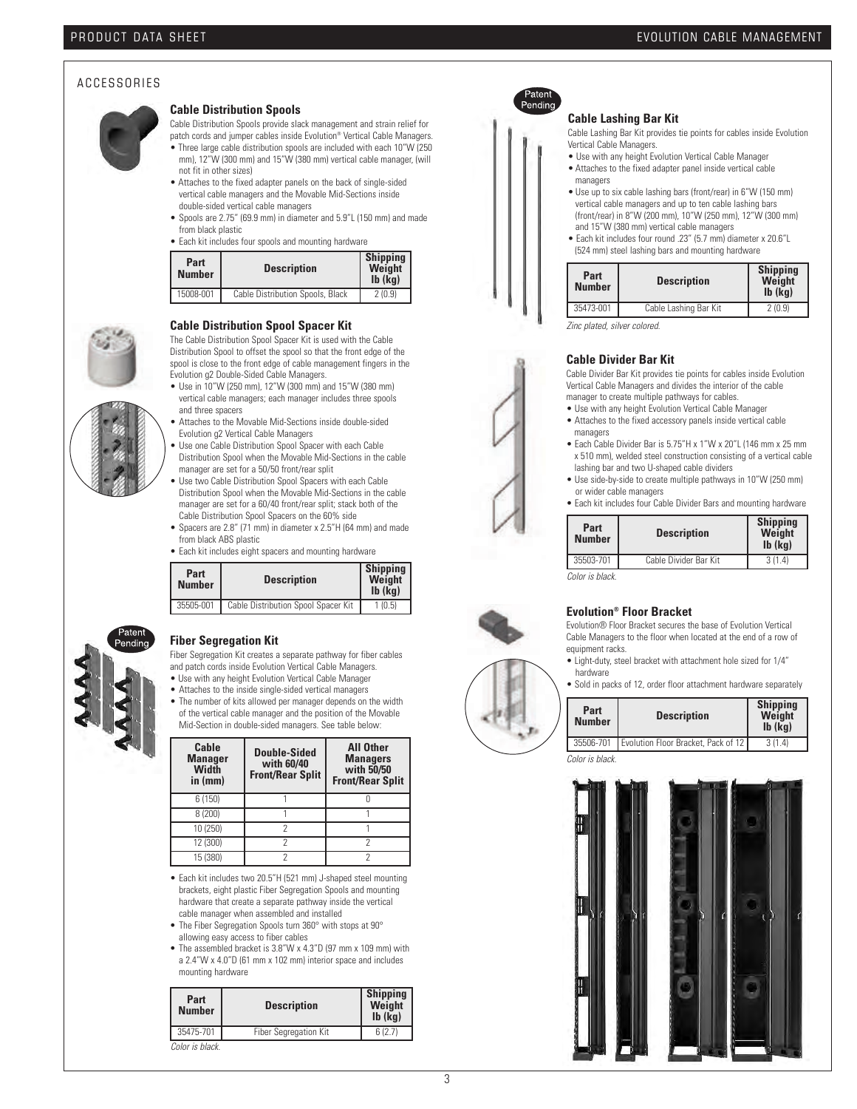#### A C C E S S O R I E S



#### **Cable Distribution Spools**

Cable Distribution Spools provide slack management and strain relief for

- patch cords and jumper cables inside Evolution® Vertical Cable Managers. • Three large cable distribution spools are included with each 10"W (250
- mm), 12"W (300 mm) and 15"W (380 mm) vertical cable manager, (will not fit in other sizes)
- Attaches to the fixed adapter panels on the back of single-sided vertical cable managers and the Movable Mid-Sections inside double-sided vertical cable managers
- Spools are 2.75" (69.9 mm) in diameter and 5.9"L (150 mm) and made from black plastic
- Each kit includes four spools and mounting hardware

| Part<br><b>Number</b> | <b>Description</b>               | <b>Shipping</b><br>Weight<br>$Ib$ ( $kq$ ) |
|-----------------------|----------------------------------|--------------------------------------------|
| 15008-001             | Cable Distribution Spools, Black | 2(0.9)                                     |



**Cable Distribution Spool Spacer Kit**

The Cable Distribution Spool Spacer Kit is used with the Cable Distribution Spool to offset the spool so that the front edge of the spool is close to the front edge of cable management fingers in the Evolution g2 Double-Sided Cable Managers.

- Use in 10"W (250 mm), 12"W (300 mm) and 15"W (380 mm) vertical cable managers; each manager includes three spools and three spacers
- Attaches to the Movable Mid-Sections inside double-sided Evolution g2 Vertical Cable Managers
- Use one Cable Distribution Spool Spacer with each Cable Distribution Spool when the Movable Mid-Sections in the cable manager are set for a 50/50 front/rear split
- Use two Cable Distribution Spool Spacers with each Cable Distribution Spool when the Movable Mid-Sections in the cable manager are set for a 60/40 front/rear split; stack both of the Cable Distribution Spool Spacers on the 60% side
- Spacers are 2.8" (71 mm) in diameter x 2.5"H (64 mm) and made from black ABS plastic
- Each kit includes eight spacers and mounting hardware

| Part<br><b>Number</b> |           | <b>Description</b>                  | <b>Shipping</b><br>Weight<br>$Ib$ ( $kq$ ) |
|-----------------------|-----------|-------------------------------------|--------------------------------------------|
|                       | 35505-001 | Cable Distribution Spool Spacer Kit | 1(0.5)                                     |



#### **Fiber Segregation Kit**

Fiber Segregation Kit creates a separate pathway for fiber cables and patch cords inside Evolution Vertical Cable Managers.

- Use with any height Evolution Vertical Cable Manager
- Attaches to the inside single-sided vertical managers
- The number of kits allowed per manager depends on the width of the vertical cable manager and the position of the Movable Mid-Section in double-sided managers. See table below:

| Cable<br><b>Manager</b><br>Width<br>in (mm) | Double-Sided<br>with 60/40<br><b>Front/Rear Split</b> | <b>All Other</b><br><b>Managers</b><br>with 50/50<br><b>Front/Rear Split</b> |
|---------------------------------------------|-------------------------------------------------------|------------------------------------------------------------------------------|
| 6(150)                                      |                                                       |                                                                              |
| 8 (200)                                     |                                                       |                                                                              |
| 10 (250)                                    |                                                       |                                                                              |
| 12 (300)                                    |                                                       |                                                                              |
| 15 (380)                                    |                                                       |                                                                              |

- Each kit includes two 20.5"H (521 mm) J-shaped steel mounting brackets, eight plastic Fiber Segregation Spools and mounting hardware that create a separate pathway inside the vertical cable manager when assembled and installed
- The Fiber Segregation Spools turn 360° with stops at 90° allowing easy access to fiber cables
- The assembled bracket is 3.8"W x 4.3"D (97 mm x 109 mm) with a 2.4"W x 4.0"D (61 mm x 102 mm) interior space and includes mounting hardware

| Part<br><b>Number</b> | <b>Description</b>    | <b>Shipping</b><br>Weight<br>$Ib$ ( $Kq$ ) |
|-----------------------|-----------------------|--------------------------------------------|
| 35475-701             | Fiber Segregation Kit | 6(2.7)                                     |
| Color is black.       |                       |                                            |



#### **Cable Lashing Bar Kit**

Cable Lashing Bar Kit provides tie points for cables inside Evolution Vertical Cable Managers.

- Use with any height Evolution Vertical Cable Manager • Attaches to the fixed adapter panel inside vertical cable
- managers • Use up to six cable lashing bars (front/rear) in 6"W (150 mm)
- vertical cable managers and up to ten cable lashing bars (front/rear) in 8"W (200 mm), 10"W (250 mm), 12"W (300 mm) and 15"W (380 mm) vertical cable managers
- Each kit includes four round .23" (5.7 mm) diameter x 20.6"L (524 mm) steel lashing bars and mounting hardware

| Part<br><b>Number</b> | <b>Description</b>    | <b>Shipping</b><br>Weight<br>$Ib$ ( $kq$ ) |
|-----------------------|-----------------------|--------------------------------------------|
| 35473-001             | Cable Lashing Bar Kit | 2(0.9)                                     |
|                       |                       |                                            |

*Zinc plated, silver colored.*

#### **Cable Divider Bar Kit**

Cable Divider Bar Kit provides tie points for cables inside Evolution Vertical Cable Managers and divides the interior of the cable manager to create multiple pathways for cables.

- Use with any height Evolution Vertical Cable Manager
- Attaches to the fixed accessory panels inside vertical cable managers
- Each Cable Divider Bar is 5.75"H x 1"W x 20"L (146 mm x 25 mm x 510 mm), welded steel construction consisting of a vertical cable lashing bar and two U-shaped cable dividers
- Use side-by-side to create multiple pathways in 10"W (250 mm) or wider cable managers
- Each kit includes four Cable Divider Bars and mounting hardware

| Part<br><b>Number</b> | <b>Description</b>    | <b>Shipping</b><br>Weight<br>$Ib$ ( $kq$ ) |
|-----------------------|-----------------------|--------------------------------------------|
| 35503-701             | Cable Divider Bar Kit | 3(1.4)                                     |
| Color is hlack        |                       |                                            |

*Color is black.*

#### **Evolution® Floor Bracket**

Evolution® Floor Bracket secures the base of Evolution Vertical Cable Managers to the floor when located at the end of a row of equipment racks.

- Light-duty, steel bracket with attachment hole sized for 1/4" hardware
- Sold in packs of 12, order floor attachment hardware separately

| Part<br><b>Number</b> | <b>Description</b>                  | <b>Shipping</b><br>Weight<br>$Ib$ ( $\overline{kg}$ ) |
|-----------------------|-------------------------------------|-------------------------------------------------------|
| 35506-701             | Evolution Floor Bracket, Pack of 12 | 3(1.4)                                                |